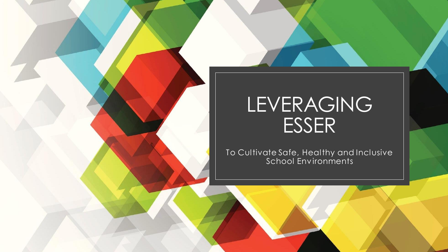

To Cultivate Safe, Healthy and Inclusive School Env ironments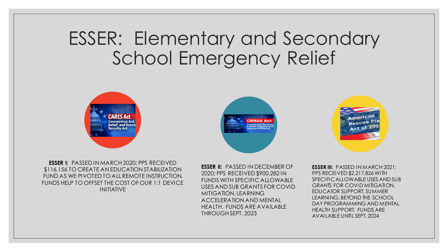## ESSER: Elementary and Secondary School Emergency Relief







**ESSER I:** PASSED IN MARCH 2020; PPS RECEIVED \$116,156 TO CREATE AN EDUCATION STABILIZATION FUND AS WE PIVOTED TO ALL REMOTE INSTRUCTION. FUNDS HELP TO OFFSET THE COST OF OUR 1:1 DEVICE INITIATIVE

**ESSER II:** PASSED IN DECEMBER OF 2020; PPS RECEIVED \$900,282 IN FUNDS WITH SPECIFIC ALLOWABLE USES AND SUB GRANTS FOR COVID MITIGATION, LEARNING ACCELERATION AND MENTAL HEALTH. FUNDS ARE AVAILABLE THROUGH SEPT. 2023

**ESSER III:** PASSED IN MARCH 2021; PPS RECEIVED \$2,217,826 WITH SPECIFIC ALLOWABLE USES AND SUB **GRANTS FOR COVID MITIGATION,** EDUCATOR SUPPORT, SUMMER LEARNING, BEYOND THE SCHOOL DAY PROGRAMMING AND MENTAL HEALTH SUPPORT. FUNDS ARE AVAILABLE UNTIL SEPT. 2024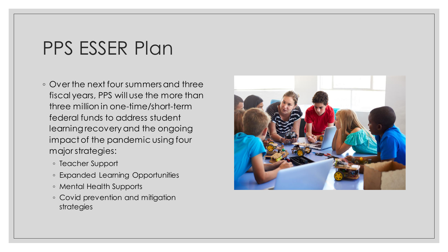# PPS ESSER Plan

- Over the next four summers and three fiscal years, PPS will use the more than three million in one-time/short-term federal funds to address student learning recovery and the ongoing impact of the pandemic using four major strategies:
	- Teacher Support
	- Expanded Learning Opportunities
	- Mental Health Supports
	- Covid prevention and mitigation strategies

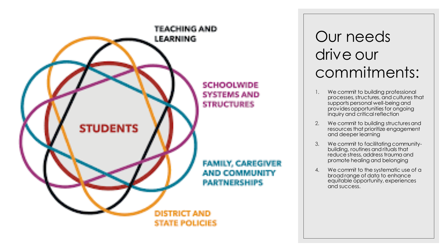

### Our needs drive our commitments:

- 1. We commit to building professional processes, structures, and cultures that supports personal well-being and provides opportunities for ongoing inquiry and critical reflection
- 2. We commit to building structures and resources that prioritize engagement and deeper learning
- 3. We commit to facilitating communitybuilding, routines and rituals that reduce stress, address trauma and promote healing and belonging
- 4. We commit to the systematic use of a broad range of data to enhance equitable opportunity, experiences and success.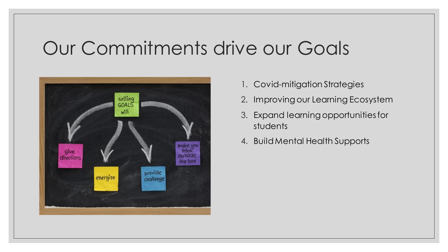## Our Commitments drive our Goals



- 1. Covid-mitigation Strategies
- 2. Improving our Learning Ecosystem
- 3. Expand learning opportunities for students
- 4. Build Mental Health Supports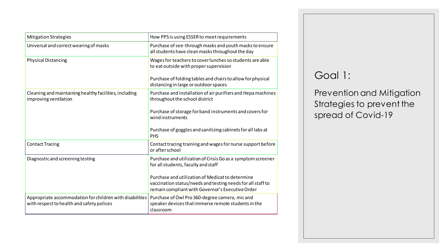| <b>Mitigation Strategies</b>                                                                          | How PPS is using ESSER to meet requirements                                                                                                                         |
|-------------------------------------------------------------------------------------------------------|---------------------------------------------------------------------------------------------------------------------------------------------------------------------|
| Universal and correct wearing of masks                                                                | Purchase of see-through masks and youth masks to ensure<br>all students have clean masks throughout the day                                                         |
| <b>Physical Distancing</b>                                                                            | Wages for teachers to cover lunches so students are able<br>to eat outside with proper supervision                                                                  |
|                                                                                                       | Purchase of folding tables and chairs to allow for physical<br>distancing in large or outdoor spaces                                                                |
| Cleaning and maintaining healthy facilities, including<br>improving ventilation                       | Purchase and installation of air purifiers and Hepa machines<br>throughout the school district                                                                      |
|                                                                                                       | Purchase of storage for band instruments and covers for<br>wind instruments                                                                                         |
|                                                                                                       | Purchase of goggles and sanitizing cabinets for all labs at<br><b>PHS</b>                                                                                           |
| <b>Contact Tracing</b>                                                                                | Contact tracing training and wages for nurse support before<br>or after school                                                                                      |
| Diagnostic and screening testing                                                                      | Purchase and utilization of Crisis Go as a symptom screener<br>for all students, faculty and staff                                                                  |
|                                                                                                       | Purchase and utilization of Medicat to determine<br>vaccination status/needs and testing needs for all staff to<br>remain compliant with Governor's Executive Order |
| Appropriate accommodation for children with disabilities<br>with respect to health and safety polices | Purchase of Owl Pro 360-degree camera, mic and<br>speaker devices that immerse remote students in the<br>classroom                                                  |

#### Goal 1:

Prevention and Mitigation Strategies to prevent the spread of Covid-19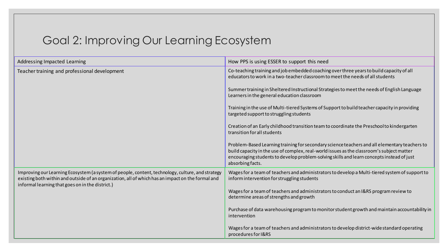### Goal 2: Improving Our Learning Ecosystem

| Addressing Impacted Learning                                                                                                                                                                                                                              | How PPS is using ESSER to support this need                                                                                                                                                                                                                                                                 |
|-----------------------------------------------------------------------------------------------------------------------------------------------------------------------------------------------------------------------------------------------------------|-------------------------------------------------------------------------------------------------------------------------------------------------------------------------------------------------------------------------------------------------------------------------------------------------------------|
| Teacher training and professional development                                                                                                                                                                                                             | Co-teaching training and job embedded coaching over three years to build capacity of all<br>educators to work in a two-teacher classroom to meet the needs of all students                                                                                                                                  |
|                                                                                                                                                                                                                                                           | Summer training in Sheltered Instructional Strategies to meet the needs of English Language<br>Learners in the general education classroom                                                                                                                                                                  |
|                                                                                                                                                                                                                                                           | Training in the use of Multi-tiered Systems of Support to build teacher capacity in providing<br>targeted support to struggling students                                                                                                                                                                    |
|                                                                                                                                                                                                                                                           | Creation of an Early childhood transition team to coordinate the Preschool to kindergarten<br>transition for all students                                                                                                                                                                                   |
|                                                                                                                                                                                                                                                           | Problem-Based Learning training for secondary science teachers and all elementary teachers to<br>build capacity in the use of complex, real-world issues as the classroom's subject matter<br>encouraging students to develop problem-solving skills and learn concepts instead of just<br>absorbing facts. |
| Improving our Learning Ecosystem (a system of people, content, technology, culture, and strategy<br>existing both within and outside of an organization, all of which has an impact on the formal and<br>informal learning that goes on in the district.) | Wages for a team of teachers and administrators to develop a Multi-tiered system of support to<br>inform intervention for struggling students                                                                                                                                                               |
|                                                                                                                                                                                                                                                           | Wages for a team of teachers and administrators to conduct an I&RS program review to<br>determine areas of strengths and growth                                                                                                                                                                             |
|                                                                                                                                                                                                                                                           | Purchase of data warehousing program to monitor student growth and maintain accountability in<br>intervention                                                                                                                                                                                               |
|                                                                                                                                                                                                                                                           | Wages for a team of teachers and administrators to develop district-wide standard operating<br>procedures for I&RS                                                                                                                                                                                          |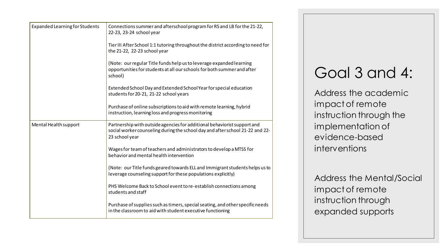| <b>Expanded Learning for Students</b> | Connections summer and afterschool program for RS and LB for the 21-22,<br>22-23, 23-24 school year                                                                         |
|---------------------------------------|-----------------------------------------------------------------------------------------------------------------------------------------------------------------------------|
|                                       | Tier III After School 1:1 tutoring throughout the district according to need for<br>the 21-22, 22-23 school year                                                            |
|                                       | (Note: our regular Title funds help us to leverage expanded learning<br>opportunities for students at all our schools for both summer and after<br>school)                  |
|                                       | Extended School Day and Extended School Year for special education<br>students for 20-21, 21-22 school years                                                                |
|                                       | Purchase of online subscriptions to aid with remote learning, hybrid<br>instruction, learning loss and progress monitoring                                                  |
| Mental Health support                 | Partnership with outside agencies for additional behaviorist support and<br>social worker counseling during the school day and after school 21-22 and 22-<br>23 school year |
|                                       | Wages for team of teachers and administrators to develop a MTSS for<br>behavior and mental health intervention                                                              |
|                                       | (Note: our Title funds geared towards ELL and Immigrant students helps us to<br>leverage counseling support for these populations explicitly)                               |
|                                       | PHS Welcome Back to School event to re-establish connections among<br>students and staff                                                                                    |
|                                       | Purchase of supplies such as timers, special seating, and other specific needs<br>in the classroom to aid with student executive functioning                                |

### Goal 3 and 4:

Address the academic impact of remote instruction through the implementation of evidence-based interventions

Address the Mental/Social impact of remote instruction through expanded supports